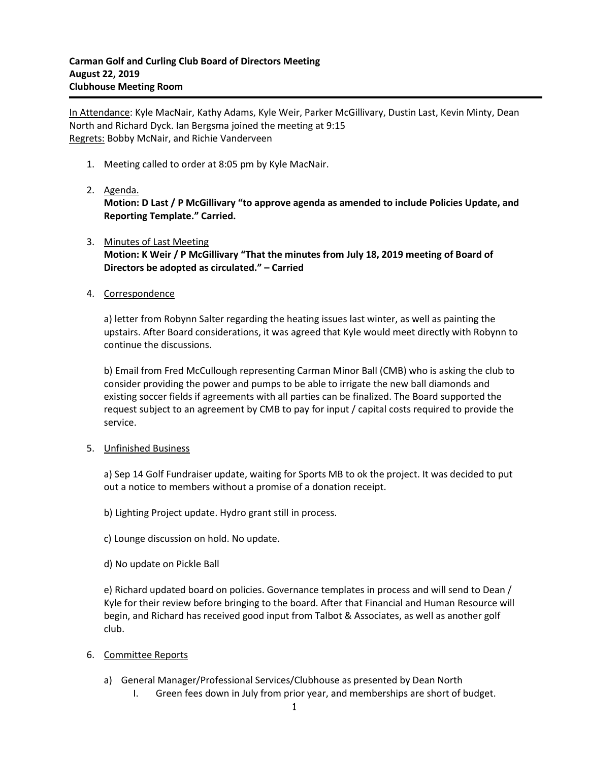In Attendance: Kyle MacNair, Kathy Adams, Kyle Weir, Parker McGillivary, Dustin Last, Kevin Minty, Dean North and Richard Dyck. Ian Bergsma joined the meeting at 9:15 Regrets: Bobby McNair, and Richie Vanderveen

- 1. Meeting called to order at 8:05 pm by Kyle MacNair.
- 2. Agenda.

**Motion: D Last / P McGillivary "to approve agenda as amended to include Policies Update, and Reporting Template." Carried.**

- 3. Minutes of Last Meeting **Motion: K Weir / P McGillivary "That the minutes from July 18, 2019 meeting of Board of Directors be adopted as circulated." – Carried**
- 4. Correspondence

a) letter from Robynn Salter regarding the heating issues last winter, as well as painting the upstairs. After Board considerations, it was agreed that Kyle would meet directly with Robynn to continue the discussions.

b) Email from Fred McCullough representing Carman Minor Ball (CMB) who is asking the club to consider providing the power and pumps to be able to irrigate the new ball diamonds and existing soccer fields if agreements with all parties can be finalized. The Board supported the request subject to an agreement by CMB to pay for input / capital costs required to provide the service.

## 5. Unfinished Business

a) Sep 14 Golf Fundraiser update, waiting for Sports MB to ok the project. It was decided to put out a notice to members without a promise of a donation receipt.

b) Lighting Project update. Hydro grant still in process.

- c) Lounge discussion on hold. No update.
- d) No update on Pickle Ball

e) Richard updated board on policies. Governance templates in process and will send to Dean / Kyle for their review before bringing to the board. After that Financial and Human Resource will begin, and Richard has received good input from Talbot & Associates, as well as another golf club.

- 6. Committee Reports
	- a) General Manager/Professional Services/Clubhouse as presented by Dean North
		- I. Green fees down in July from prior year, and memberships are short of budget.